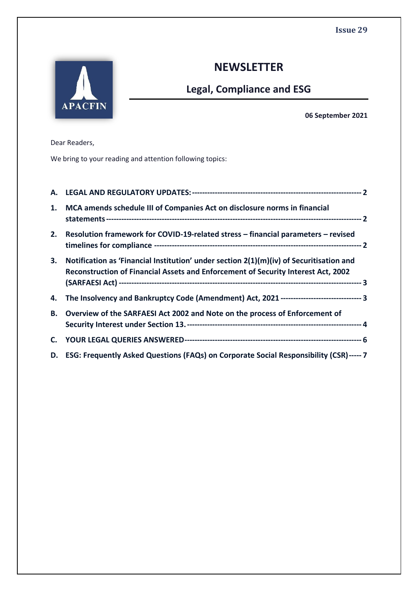

# **NEWSLETTER**

# **Legal, Compliance and ESG**

**06 September 2021**

Dear Readers,

We bring to your reading and attention following topics:

| А. |                                                                                                                                                                                |  |
|----|--------------------------------------------------------------------------------------------------------------------------------------------------------------------------------|--|
| 1. | MCA amends schedule III of Companies Act on disclosure norms in financial                                                                                                      |  |
| 2. | Resolution framework for COVID-19-related stress - financial parameters - revised                                                                                              |  |
| 3. | Notification as 'Financial Institution' under section $2(1)(m)(iv)$ of Securitisation and<br>Reconstruction of Financial Assets and Enforcement of Security Interest Act, 2002 |  |
|    | 4. The Insolvency and Bankruptcy Code (Amendment) Act, 2021 ------------------------------- 3                                                                                  |  |
| В. | Overview of the SARFAESI Act 2002 and Note on the process of Enforcement of                                                                                                    |  |
|    |                                                                                                                                                                                |  |
|    | D. ESG: Frequently Asked Questions (FAQs) on Corporate Social Responsibility (CSR)----- 7                                                                                      |  |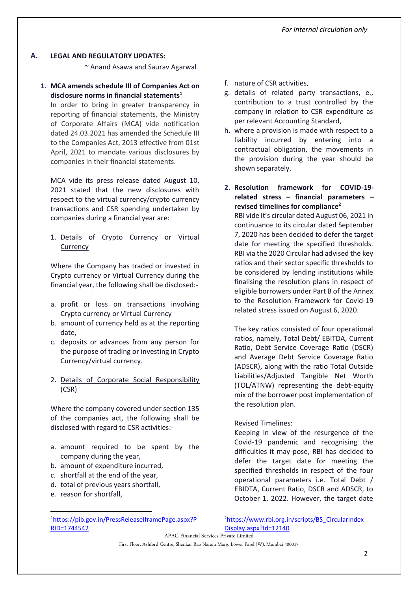#### <span id="page-1-0"></span>**A. LEGAL AND REGULATORY UPDATES:**

~ Anand Asawa and Saurav Agarwal

<span id="page-1-1"></span>**1. MCA amends schedule III of Companies Act on disclosure norms in financial statements<sup>1</sup>**

In order to bring in greater transparency in reporting of financial statements, the Ministry of Corporate Affairs (MCA) vide notification dated 24.03.2021 has amended the Schedule III to the Companies Act, 2013 effective from 01st April, 2021 to mandate various disclosures by companies in their financial statements.

MCA vide its press release dated August 10, 2021 stated that the new disclosures with respect to the virtual currency/crypto currency transactions and CSR spending undertaken by companies during a financial year are:

# 1. Details of Crypto Currency or Virtual **Currency**

Where the Company has traded or invested in Crypto currency or Virtual Currency during the financial year, the following shall be disclosed:-

- a. profit or loss on transactions involving Crypto currency or Virtual Currency
- b. amount of currency held as at the reporting date,
- c. deposits or advances from any person for the purpose of trading or investing in Crypto Currency/virtual currency.
- 2. Details of Corporate Social Responsibility (CSR)

Where the company covered under section 135 of the companies act, the following shall be disclosed with regard to CSR activities:-

- a. amount required to be spent by the company during the year,
- b. amount of expenditure incurred,
- c. shortfall at the end of the year,
- d. total of previous years shortfall,
- e. reason for shortfall,
- f. nature of CSR activities,
- g. details of related party transactions, e., contribution to a trust controlled by the company in relation to CSR expenditure as per relevant Accounting Standard,
- h. where a provision is made with respect to a liability incurred by entering into a contractual obligation, the movements in the provision during the year should be shown separately.
- <span id="page-1-2"></span>**2. Resolution framework for COVID-19 related stress – financial parameters – revised timelines for compliance<sup>2</sup>**

RBI vide it's circular dated August 06, 2021 in continuance to its circular dated September 7, 2020 has been decided to defer the target date for meeting the specified thresholds. RBI via the 2020 Circular had advised the key ratios and their sector specific thresholds to be considered by lending institutions while finalising the resolution plans in respect of eligible borrowers under Part B of the Annex to the Resolution Framework for Covid-19 related stress issued on August 6, 2020.

The key ratios consisted of four operational ratios, namely, Total Debt/ EBITDA, Current Ratio, Debt Service Coverage Ratio (DSCR) and Average Debt Service Coverage Ratio (ADSCR), along with the ratio Total Outside Liabilities/Adjusted Tangible Net Worth (TOL/ATNW) representing the debt-equity mix of the borrower post implementation of the resolution plan.

#### Revised Timelines:

Keeping in view of the resurgence of the Covid-19 pandemic and recognising the difficulties it may pose, RBI has decided to defer the target date for meeting the specified thresholds in respect of the four operational parameters i.e. Total Debt / EBIDTA, Current Ratio, DSCR and ADSCR, to October 1, 2022. However, the target date

<sup>2</sup>[https://www.rbi.org.in/scripts/BS\\_CircularIndex](https://www.rbi.org.in/scripts/BS_CircularIndexDisplay.aspx?Id=12140) [Display.aspx?Id=12140](https://www.rbi.org.in/scripts/BS_CircularIndexDisplay.aspx?Id=12140)

APAC Financial Services Private Limited

First Floor, Ashford Centre, Shankar Rao Naram Marg, Lower Parel (W), Mumbai 400013

<sup>1</sup>[https://pib.gov.in/PressReleaseIframePage.aspx?P](https://pib.gov.in/PressReleaseIframePage.aspx?PRID=1744542) [RID=1744542](https://pib.gov.in/PressReleaseIframePage.aspx?PRID=1744542)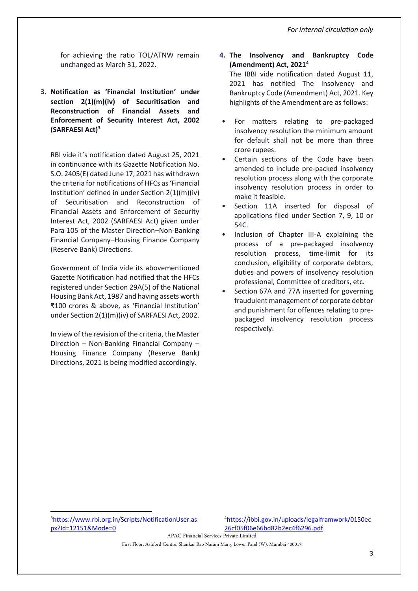for achieving the ratio TOL/ATNW remain unchanged as March 31, 2022.

<span id="page-2-0"></span>**3. Notification as 'Financial Institution' under section 2(1)(m)(iv) of Securitisation and Reconstruction of Financial Assets and Enforcement of Security Interest Act, 2002 (SARFAESI Act)<sup>3</sup>**

RBI vide it's notification dated August 25, 2021 in continuance with its Gazette Notification No. S.O. 2405(E) dated June 17, 2021 has withdrawn the criteria for notifications of HFCs as 'Financial Institution' defined in under Section 2(1)(m)(iv) of Securitisation and Reconstruction of Financial Assets and Enforcement of Security Interest Act, 2002 (SARFAESI Act) given under Para 105 of the Master Direction–Non-Banking Financial Company–Housing Finance Company (Reserve Bank) Directions.

Government of India vide its abovementioned Gazette Notification had notified that the HFCs registered under Section 29A(5) of the National Housing Bank Act, 1987 and having assets worth ₹100 crores & above, as 'Financial Institution' under Section 2(1)(m)(iv) of SARFAESI Act, 2002.

In view of the revision of the criteria, the Master Direction – Non-Banking Financial Company – Housing Finance Company (Reserve Bank) Directions, 2021 is being modified accordingly.

- <span id="page-2-1"></span>**4. The Insolvency and Bankruptcy Code (Amendment) Act, 2021<sup>4</sup>** The IBBI vide notification dated August 11, 2021 has notified The Insolvency and Bankruptcy Code (Amendment) Act, 2021. Key highlights of the Amendment are as follows:
	- For matters relating to pre-packaged insolvency resolution the minimum amount for default shall not be more than three crore rupees.
- Certain sections of the Code have been amended to include pre-packed insolvency resolution process along with the corporate insolvency resolution process in order to make it feasible.
- Section 11A inserted for disposal of applications filed under Section 7, 9, 10 or 54C.
- Inclusion of Chapter III-A explaining the process of a pre-packaged insolvency resolution process, time-limit for its conclusion, eligibility of corporate debtors, duties and powers of insolvency resolution professional, Committee of creditors, etc.
- Section 67A and 77A inserted for governing fraudulent management of corporate debtor and punishment for offences relating to prepackaged insolvency resolution process respectively.

APAC Financial Services Private Limited

First Floor, Ashford Centre, Shankar Rao Naram Marg, Lower Parel (W), Mumbai 400013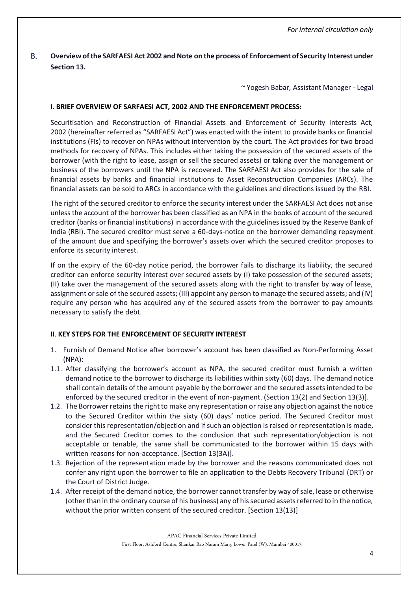# <span id="page-3-0"></span>B. **Overview of the SARFAESI Act 2002 and Note on the process of Enforcement of Security Interest under Section 13.**

~ Yogesh Babar, Assistant Manager - Legal

### I. **BRIEF OVERVIEW OF SARFAESI ACT, 2002 AND THE ENFORCEMENT PROCESS:**

[Securitisation and Reconstruction of Financial Assets and Enforcement of Security Interests Act,](https://taxguru.in/corporate-law/highlights-of-sarfaesi-act-2002.html)  [2002](https://taxguru.in/corporate-law/highlights-of-sarfaesi-act-2002.html) (hereinafter referred as "SARFAESI Act") was enacted with the intent to provide banks or financial institutions (FIs) to recover on NPAs without intervention by the court. The Act provides for two broad methods for recovery of NPAs. This includes either taking the possession of the secured assets of the borrower (with the right to lease, assign or sell the secured assets) or taking over the management or business of the borrowers until the NPA is recovered. The SARFAESI Act also provides for the sale of financial assets by banks and financial institutions to Asset Reconstruction Companies (ARCs). The financial assets can be sold to ARCs in accordance with the guidelines and directions issued by the RBI.

The right of the secured creditor to enforce the security interest under the SARFAESI Act does not arise unless the account of the borrower has been classified as an NPA in the books of account of the secured creditor (banks or financial institutions) in accordance with the guidelines issued by the Reserve Bank of India (RBI). The secured creditor must serve a 60-days-notice on the borrower demanding repayment of the amount due and specifying the borrower's assets over which the secured creditor proposes to enforce its security interest.

If on the expiry of the 60-day notice period, the borrower fails to discharge its liability, the secured creditor can enforce security interest over secured assets by (I) take possession of the secured assets; (II) take over the management of the secured assets along with the right to transfer by way of lease, assignment or sale of the secured assets; (III) appoint any person to manage the secured assets; and (IV) require any person who has acquired any of the secured assets from the borrower to pay amounts necessary to satisfy the debt.

## II. **KEY STEPS FOR THE ENFORCEMENT OF SECURITY INTEREST**

- 1. Furnish of Demand Notice after borrower's account has been classified as Non-Performing Asset (NPA):
- 1.1. After classifying the borrower's account as NPA, the secured creditor must furnish a written demand notice to the borrower to discharge its liabilities within sixty (60) days. The demand notice shall contain details of the amount payable by the borrower and the secured assets intended to be enforced by the secured creditor in the event of non-payment. (Section 13(2) and Section 13(3)].
- 1.2. The Borrower retains the right to make any representation or raise any objection against the notice to the Secured Creditor within the sixty (60) days' notice period. The Secured Creditor must consider this representation/objection and if such an objection is raised or representation is made, and the Secured Creditor comes to the conclusion that such representation/objection is not acceptable or tenable, the same shall be communicated to the borrower within 15 days with written reasons for non-acceptance. [Section 13(3A)].
- 1.3. Rejection of the representation made by the borrower and the reasons communicated does not confer any right upon the borrower to file an application to the Debts Recovery Tribunal (DRT) or the Court of District Judge.
- 1.4. After receipt of the demand notice, the borrower cannot transfer by way of sale, lease or otherwise (other than in the ordinary course of his business) any of his secured assets referred to in the notice, without the prior written consent of the secured creditor. [Section 13(13)]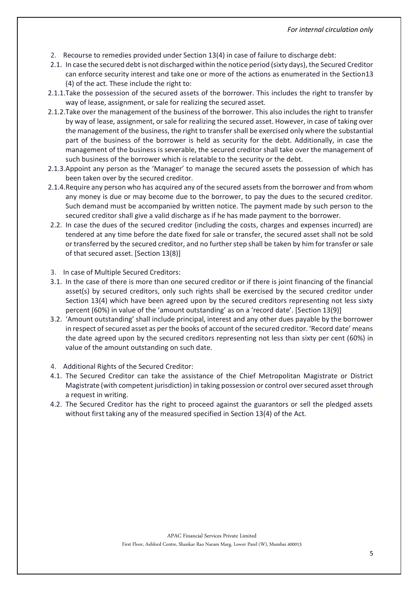- 2. Recourse to remedies provided under Section 13(4) in case of failure to discharge debt:
- 2.1. In case the secured debt is not discharged within the notice period (sixty days), the Secured Creditor can enforce security interest and take one or more of the actions as enumerated in the Section13 (4) of the act. These include the right to:
- 2.1.1.Take the possession of the secured assets of the borrower. This includes the right to transfer by way of lease, assignment, or sale for realizing the secured asset.
- 2.1.2.Take over the management of the business of the borrower. This also includes the right to transfer by way of lease, assignment, or sale for realizing the secured asset. However, in case of taking over the management of the business, the right to transfer shall be exercised only where the substantial part of the business of the borrower is held as security for the debt. Additionally, in case the management of the business is severable, the secured creditor shall take over the management of such business of the borrower which is relatable to the security or the debt.
- 2.1.3.Appoint any person as the 'Manager' to manage the secured assets the possession of which has been taken over by the secured creditor.
- 2.1.4.Require any person who has acquired any of the secured assets from the borrower and from whom any money is due or may become due to the borrower, to pay the dues to the secured creditor. Such demand must be accompanied by written notice. The payment made by such person to the secured creditor shall give a valid discharge as if he has made payment to the borrower.
- 2.2. In case the dues of the secured creditor (including the costs, charges and expenses incurred) are tendered at any time before the date fixed for sale or transfer, the secured asset shall not be sold or transferred by the secured creditor, and no further step shall be taken by him for transfer or sale of that secured asset. [Section 13(8)]
- 3. In case of Multiple Secured Creditors:
- 3.1. In the case of there is more than one secured creditor or if there is joint financing of the financial asset(s) by secured creditors, only such rights shall be exercised by the secured creditor under Section 13(4) which have been agreed upon by the secured creditors representing not less sixty percent (60%) in value of the 'amount outstanding' as on a 'record date'. [Section 13(9)]
- 3.2. 'Amount outstanding' shall include principal, interest and any other dues payable by the borrower in respect of secured asset as per the books of account of the secured creditor. 'Record date' means the date agreed upon by the secured creditors representing not less than sixty per cent (60%) in value of the amount outstanding on such date.
- 4. Additional Rights of the Secured Creditor:
- 4.1. The Secured Creditor can take the assistance of the Chief Metropolitan Magistrate or District Magistrate (with competent jurisdiction) in taking possession or control over secured asset through a request in writing.
- <span id="page-4-0"></span>4.2. The Secured Creditor has the right to proceed against the guarantors or sell the pledged assets without first taking any of the measured specified in Section 13(4) of the Act.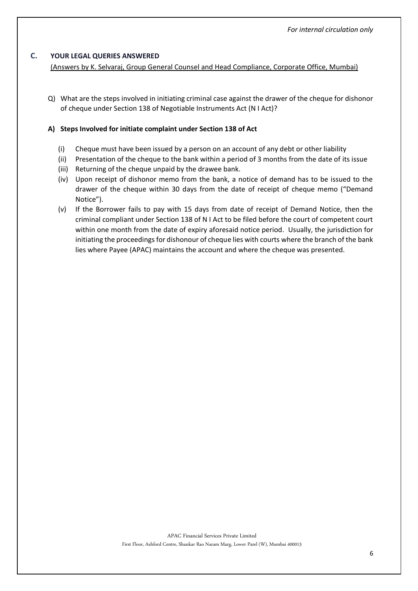### **C. YOUR LEGAL QUERIES ANSWERED**

#### (Answers by K. Selvaraj, Group General Counsel and Head Compliance, Corporate Office, Mumbai)

Q) What are the steps involved in initiating criminal case against the drawer of the cheque for dishonor of cheque under Section 138 of Negotiable Instruments Act (N I Act)?

#### **A) Steps Involved for initiate complaint under Section 138 of Act**

- (i) Cheque must have been issued by a person on an account of any debt or other liability
- (ii) Presentation of the cheque to the bank within a period of 3 months from the date of its issue
- (iii) Returning of the cheque unpaid by the drawee bank.
- (iv) Upon receipt of dishonor memo from the bank, a notice of demand has to be issued to the drawer of the cheque within 30 days from the date of receipt of cheque memo ("Demand Notice").
- (v) If the Borrower fails to pay with 15 days from date of receipt of Demand Notice, then the criminal compliant under Section 138 of N I Act to be filed before the court of competent court within one month from the date of expiry aforesaid notice period. Usually, the jurisdiction for initiating the proceedings for dishonour of cheque lies with courts where the branch of the bank lies where Payee (APAC) maintains the account and where the cheque was presented.